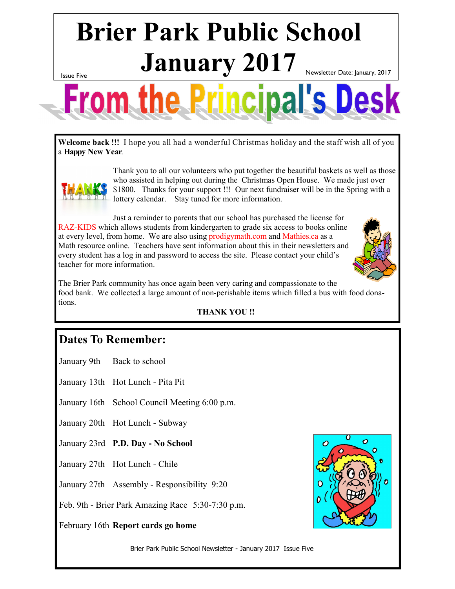# **Brier Park Public School**  $\mathbf{January}$   $2017$  Newsletter Date: January, 2017

Issue Five



**Welcome back !!!** I hope you all had a wonderful Christmas holiday and the staff wish all of you a **Happy New Year**.



Thank you to all our volunteers who put together the beautiful baskets as well as those who assisted in helping out during the Christmas Open House. We made just over \$1800. Thanks for your support !!! Our next fundraiser will be in the Spring with a lottery calendar. Stay tuned for more information.

Just a reminder to parents that our school has purchased the license for RAZ-KIDS which allows students from kindergarten to grade six access to books online at every level, from home. We are also using prodigymath.com and Mathies.ca as a Math resource online. Teachers have sent information about this in their newsletters and every student has a log in and password to access the site. Please contact your child's teacher for more information.

The Brier Park community has once again been very caring and compassionate to the food bank. We collected a large amount of non-perishable items which filled a bus with food donations.

#### **THANK YOU !!**

#### **Dates To Remember:**

January 9th Back to school

January 13th Hot Lunch - Pita Pit

- January 16th School Council Meeting 6:00 p.m.
- January 20th Hot Lunch Subway
- January 23rd **P.D. Day - No School**
- January 27th Hot Lunch Chile

January 27th Assembly - Responsibility 9:20

Feb. 9th - Brier Park Amazing Race 5:30-7:30 p.m.

February 16th **Report cards go home**



Brier Park Public School Newsletter - January 2017 Issue Five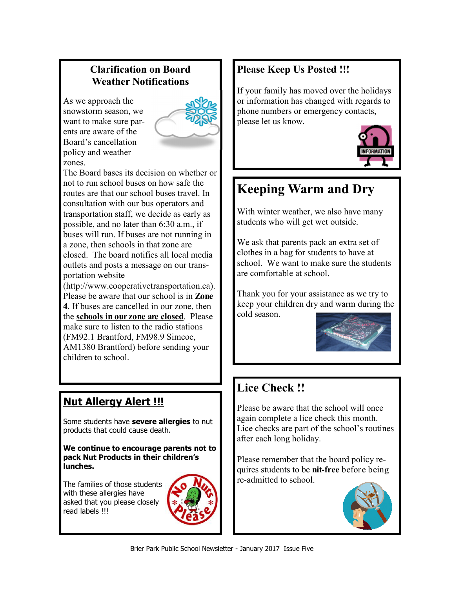#### **Clarification on Board Weather Notifications**

As we approach the snowstorm season, we want to make sure parents are aware of the Board's cancellation policy and weather zones.



The Board bases its decision on whether or not to run school buses on how safe the routes are that our school buses travel. In consultation with our bus operators and transportation staff, we decide as early as possible, and no later than 6:30 a.m., if buses will run. If buses are not running in a zone, then schools in that zone are closed. The board notifies all local media outlets and posts a message on our transportation website

(http://www.cooperativetransportation.ca). Please be aware that our school is in **Zone 4**. If buses are cancelled in our zone, then the **schools in our zone are closed**. Please make sure to listen to the radio stations (FM92.1 Brantford, FM98.9 Simcoe, AM1380 Brantford) before sending your children to school.

### **Nut Allergy Alert !!!**

Some students have **severe allergies** to nut products that could cause death.

**We continue to encourage parents not to pack Nut Products in their children's lunches.** 

The families of those students with these allergies have asked that you please closely read labels !!!



#### **Please Keep Us Posted !!!**

If your family has moved over the holidays or information has changed with regards to phone numbers or emergency contacts, please let us know.



## **Keeping Warm and Dry**

With winter weather, we also have many students who will get wet outside.

We ask that parents pack an extra set of clothes in a bag for students to have at school. We want to make sure the students are comfortable at school.

Thank you for your assistance as we try to keep your children dry and warm during the cold season.



### **Lice Check !!**

Please be aware that the school will once again complete a lice check this month. Lice checks are part of the school's routines after each long holiday.

Please remember that the board policy requires students to be **nit-free** before being re-admitted to school.